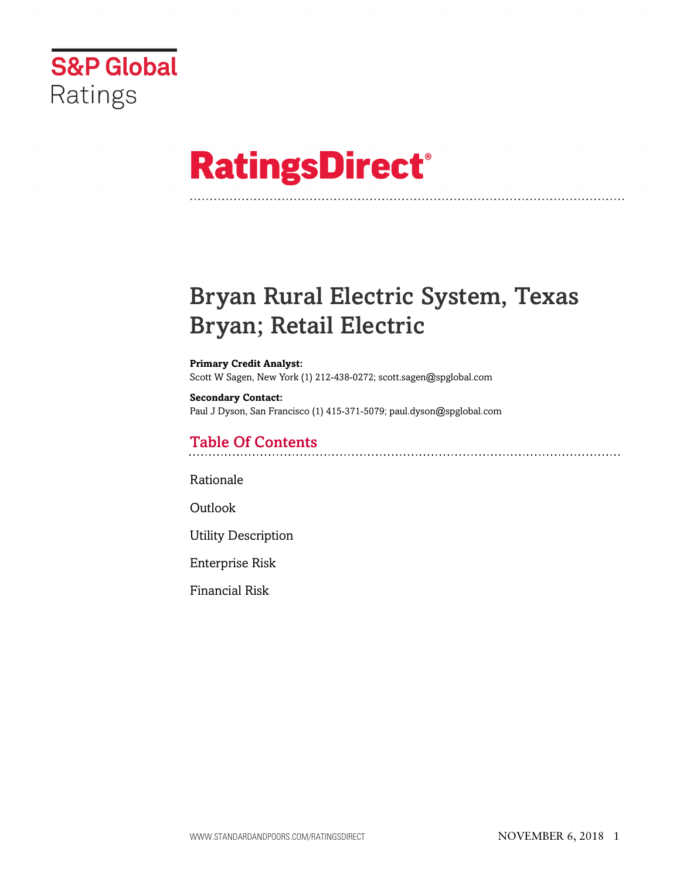

# **RatingsDirect®**

# Bryan Rural Electric System, Texas Bryan; Retail Electric

#### **Primary Credit Analyst:** Scott W Sagen, New York (1) 212-438-0272; scott.sagen@spglobal.com

**Secondary Contact:** Paul J Dyson, San Francisco (1) 415-371-5079; paul.dyson@spglobal.com

# Table Of Contents

[Rationale](#page-1-0)

[Outlook](#page-2-0)

[Utility Description](#page-2-1)

[Enterprise Risk](#page-2-2)

[Financial Risk](#page-3-0)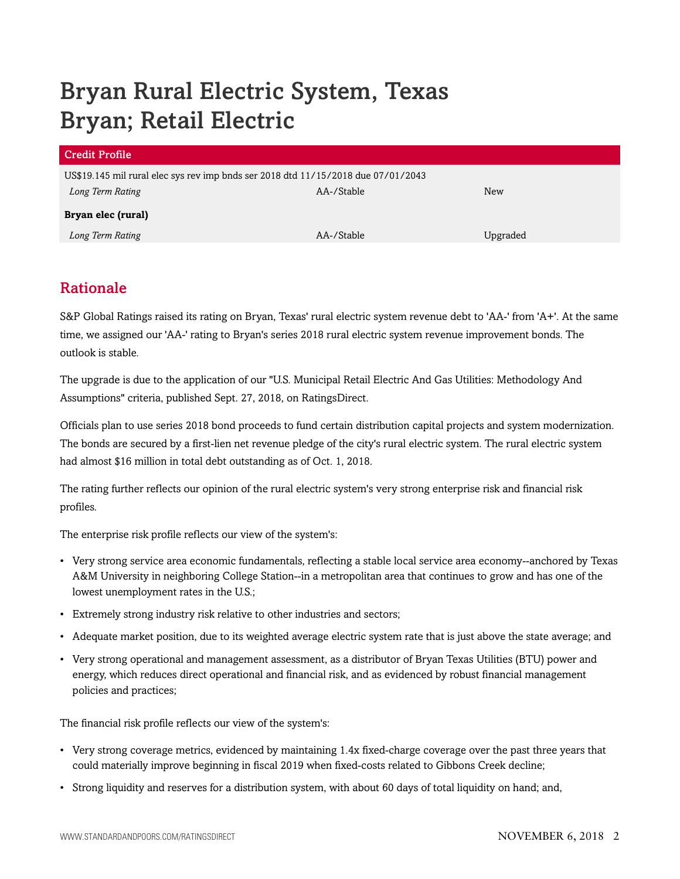# Bryan Rural Electric System, Texas Bryan; Retail Electric

| US\$19.145 mil rural elec sys rev imp bnds ser 2018 dtd 11/15/2018 due 07/01/2043 |          |
|-----------------------------------------------------------------------------------|----------|
| AA-/Stable                                                                        | New      |
| Bryan elec (rural)                                                                |          |
| AA-/Stable                                                                        | Upgraded |
|                                                                                   |          |

# <span id="page-1-0"></span>Rationale

S&P Global Ratings raised its rating on Bryan, Texas' rural electric system revenue debt to 'AA-' from 'A+'. At the same time, we assigned our 'AA-' rating to Bryan's series 2018 rural electric system revenue improvement bonds. The outlook is stable.

The upgrade is due to the application of our "U.S. Municipal Retail Electric And Gas Utilities: Methodology And Assumptions" criteria, published Sept. 27, 2018, on RatingsDirect.

Officials plan to use series 2018 bond proceeds to fund certain distribution capital projects and system modernization. The bonds are secured by a first-lien net revenue pledge of the city's rural electric system. The rural electric system had almost \$16 million in total debt outstanding as of Oct. 1, 2018.

The rating further reflects our opinion of the rural electric system's very strong enterprise risk and financial risk profiles.

The enterprise risk profile reflects our view of the system's:

- Very strong service area economic fundamentals, reflecting a stable local service area economy--anchored by Texas A&M University in neighboring College Station--in a metropolitan area that continues to grow and has one of the lowest unemployment rates in the U.S.;
- Extremely strong industry risk relative to other industries and sectors;
- Adequate market position, due to its weighted average electric system rate that is just above the state average; and
- Very strong operational and management assessment, as a distributor of Bryan Texas Utilities (BTU) power and energy, which reduces direct operational and financial risk, and as evidenced by robust financial management policies and practices;

The financial risk profile reflects our view of the system's:

- Very strong coverage metrics, evidenced by maintaining 1.4x fixed-charge coverage over the past three years that could materially improve beginning in fiscal 2019 when fixed-costs related to Gibbons Creek decline;
- Strong liquidity and reserves for a distribution system, with about 60 days of total liquidity on hand; and,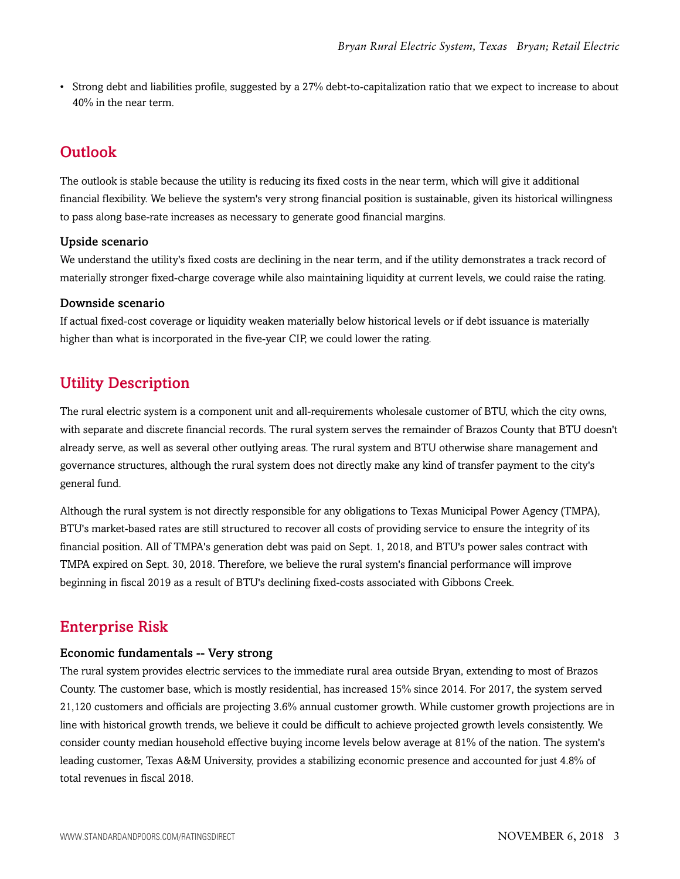• Strong debt and liabilities profile, suggested by a 27% debt-to-capitalization ratio that we expect to increase to about 40% in the near term.

# <span id="page-2-0"></span>**Outlook**

The outlook is stable because the utility is reducing its fixed costs in the near term, which will give it additional financial flexibility. We believe the system's very strong financial position is sustainable, given its historical willingness to pass along base-rate increases as necessary to generate good financial margins.

# Upside scenario

We understand the utility's fixed costs are declining in the near term, and if the utility demonstrates a track record of materially stronger fixed-charge coverage while also maintaining liquidity at current levels, we could raise the rating.

# Downside scenario

If actual fixed-cost coverage or liquidity weaken materially below historical levels or if debt issuance is materially higher than what is incorporated in the five-year CIP, we could lower the rating.

# <span id="page-2-1"></span>Utility Description

The rural electric system is a component unit and all-requirements wholesale customer of BTU, which the city owns, with separate and discrete financial records. The rural system serves the remainder of Brazos County that BTU doesn't already serve, as well as several other outlying areas. The rural system and BTU otherwise share management and governance structures, although the rural system does not directly make any kind of transfer payment to the city's general fund.

Although the rural system is not directly responsible for any obligations to Texas Municipal Power Agency (TMPA), BTU's market-based rates are still structured to recover all costs of providing service to ensure the integrity of its financial position. All of TMPA's generation debt was paid on Sept. 1, 2018, and BTU's power sales contract with TMPA expired on Sept. 30, 2018. Therefore, we believe the rural system's financial performance will improve beginning in fiscal 2019 as a result of BTU's declining fixed-costs associated with Gibbons Creek.

# <span id="page-2-2"></span>Enterprise Risk

### Economic fundamentals -- Very strong

The rural system provides electric services to the immediate rural area outside Bryan, extending to most of Brazos County. The customer base, which is mostly residential, has increased 15% since 2014. For 2017, the system served 21,120 customers and officials are projecting 3.6% annual customer growth. While customer growth projections are in line with historical growth trends, we believe it could be difficult to achieve projected growth levels consistently. We consider county median household effective buying income levels below average at 81% of the nation. The system's leading customer, Texas A&M University, provides a stabilizing economic presence and accounted for just 4.8% of total revenues in fiscal 2018.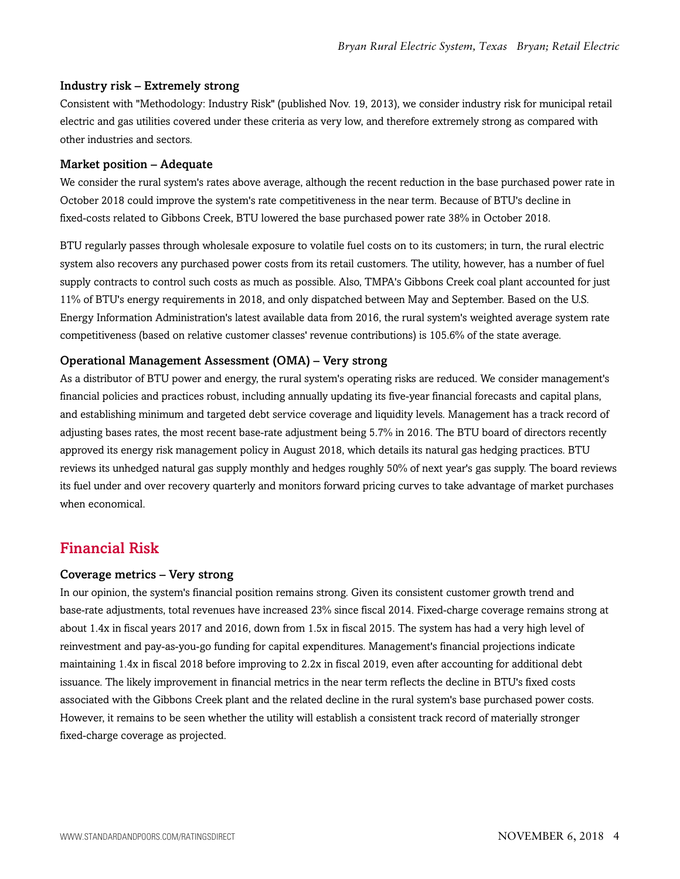#### Industry risk – Extremely strong

Consistent with "Methodology: Industry Risk" (published Nov. 19, 2013), we consider industry risk for municipal retail electric and gas utilities covered under these criteria as very low, and therefore extremely strong as compared with other industries and sectors.

#### Market position – Adequate

We consider the rural system's rates above average, although the recent reduction in the base purchased power rate in October 2018 could improve the system's rate competitiveness in the near term. Because of BTU's decline in fixed-costs related to Gibbons Creek, BTU lowered the base purchased power rate 38% in October 2018.

BTU regularly passes through wholesale exposure to volatile fuel costs on to its customers; in turn, the rural electric system also recovers any purchased power costs from its retail customers. The utility, however, has a number of fuel supply contracts to control such costs as much as possible. Also, TMPA's Gibbons Creek coal plant accounted for just 11% of BTU's energy requirements in 2018, and only dispatched between May and September. Based on the U.S. Energy Information Administration's latest available data from 2016, the rural system's weighted average system rate competitiveness (based on relative customer classes' revenue contributions) is 105.6% of the state average.

### Operational Management Assessment (OMA) – Very strong

As a distributor of BTU power and energy, the rural system's operating risks are reduced. We consider management's financial policies and practices robust, including annually updating its five-year financial forecasts and capital plans, and establishing minimum and targeted debt service coverage and liquidity levels. Management has a track record of adjusting bases rates, the most recent base-rate adjustment being 5.7% in 2016. The BTU board of directors recently approved its energy risk management policy in August 2018, which details its natural gas hedging practices. BTU reviews its unhedged natural gas supply monthly and hedges roughly 50% of next year's gas supply. The board reviews its fuel under and over recovery quarterly and monitors forward pricing curves to take advantage of market purchases when economical.

# <span id="page-3-0"></span>Financial Risk

### Coverage metrics – Very strong

In our opinion, the system's financial position remains strong. Given its consistent customer growth trend and base-rate adjustments, total revenues have increased 23% since fiscal 2014. Fixed-charge coverage remains strong at about 1.4x in fiscal years 2017 and 2016, down from 1.5x in fiscal 2015. The system has had a very high level of reinvestment and pay-as-you-go funding for capital expenditures. Management's financial projections indicate maintaining 1.4x in fiscal 2018 before improving to 2.2x in fiscal 2019, even after accounting for additional debt issuance. The likely improvement in financial metrics in the near term reflects the decline in BTU's fixed costs associated with the Gibbons Creek plant and the related decline in the rural system's base purchased power costs. However, it remains to be seen whether the utility will establish a consistent track record of materially stronger fixed-charge coverage as projected.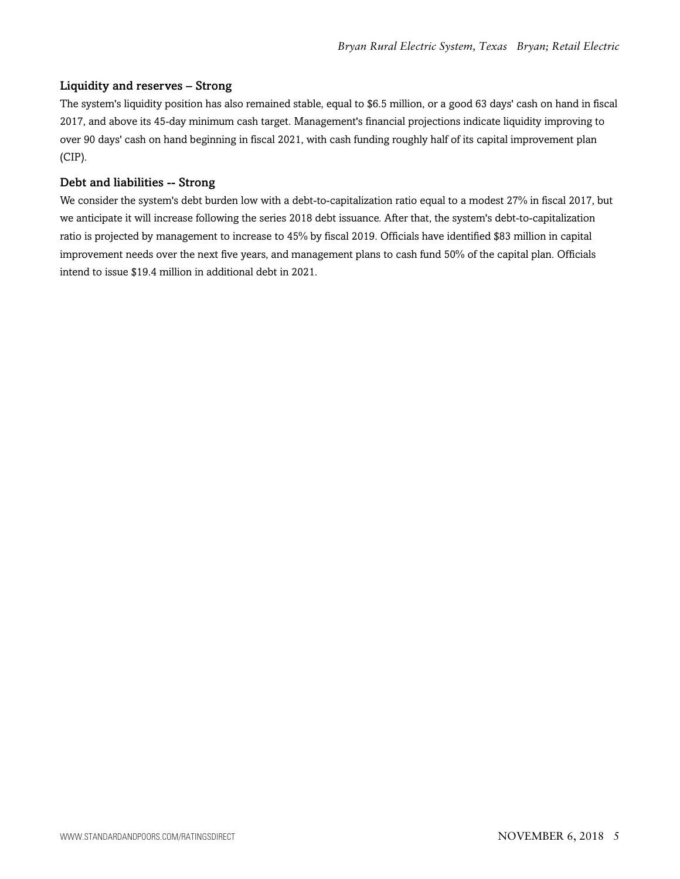# Liquidity and reserves – Strong

The system's liquidity position has also remained stable, equal to \$6.5 million, or a good 63 days' cash on hand in fiscal 2017, and above its 45-day minimum cash target. Management's financial projections indicate liquidity improving to over 90 days' cash on hand beginning in fiscal 2021, with cash funding roughly half of its capital improvement plan (CIP).

#### Debt and liabilities -- Strong

We consider the system's debt burden low with a debt-to-capitalization ratio equal to a modest 27% in fiscal 2017, but we anticipate it will increase following the series 2018 debt issuance. After that, the system's debt-to-capitalization ratio is projected by management to increase to 45% by fiscal 2019. Officials have identified \$83 million in capital improvement needs over the next five years, and management plans to cash fund 50% of the capital plan. Officials intend to issue \$19.4 million in additional debt in 2021.